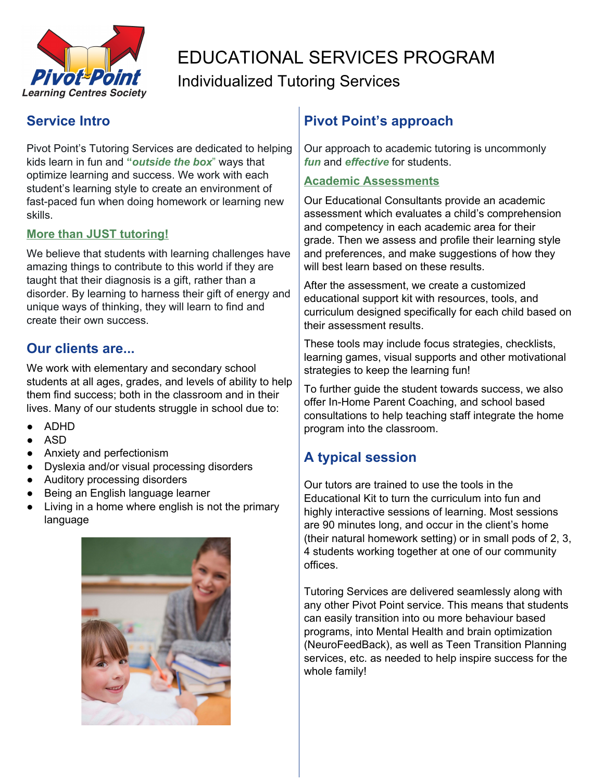

# EDUCATIONAL SERVICES PROGRAM Individualized Tutoring Services

### **Service Intro**

Pivot Point's Tutoring Services are dedicated to helping kids learn in fun and **"***outside the box*" ways that optimize learning and success. We work with each student's learning style to create an environment of fast-paced fun when doing homework or learning new skills.

#### **More than JUST tutoring!**

We believe that students with learning challenges have amazing things to contribute to this world if they are taught that their diagnosis is a gift, rather than a disorder. By learning to harness their gift of energy and unique ways of thinking, they will learn to find and create their own success.

#### **Our clients are...**

We work with elementary and secondary school students at all ages, grades, and levels of ability to help them find success; both in the classroom and in their lives. Many of our students struggle in school due to:

- ADHD
- ASD
- Anxiety and perfectionism
- Dyslexia and/or visual processing disorders
- Auditory processing disorders
- Being an English language learner
- Living in a home where english is not the primary language



### **Pivot Point's approach**

Our approach to academic tutoring is uncommonly *fun* and *effective* for students.

#### **Academic Assessments**

Our Educational Consultants provide an academic assessment which evaluates a child's comprehension and competency in each academic area for their grade. Then we assess and profile their learning style and preferences, and make suggestions of how they will best learn based on these results.

After the assessment, we create a customized educational support kit with resources, tools, and curriculum designed specifically for each child based on their assessment results.

These tools may include focus strategies, checklists, learning games, visual supports and other motivational strategies to keep the learning fun!

To further guide the student towards success, we also offer In-Home Parent Coaching, and school based consultations to help teaching staff integrate the home program into the classroom.

## **A typical session**

Our tutors are trained to use the tools in the Educational Kit to turn the curriculum into fun and highly interactive sessions of learning. Most sessions are 90 minutes long, and occur in the client's home (their natural homework setting) or in small pods of 2, 3, 4 students working together at one of our community offices.

Tutoring Services are delivered seamlessly along with any other Pivot Point service. This means that students can easily transition into ou more behaviour based programs, into Mental Health and brain optimization (NeuroFeedBack), as well as Teen Transition Planning services, etc. as needed to help inspire success for the whole family!